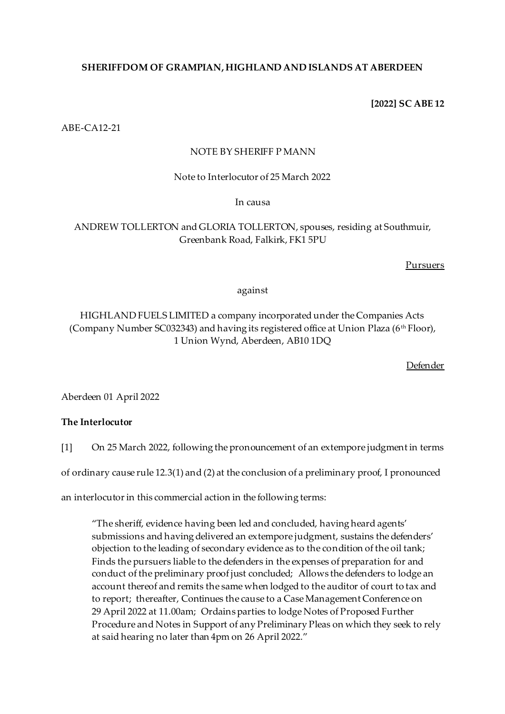# **SHERIFFDOM OF GRAMPIAN, HIGHLAND AND ISLANDS AT ABERDEEN**

**[2022] SC ABE 12**

ABE-CA12-21

## NOTE BY SHERIFF P MANN

Note to Interlocutor of 25 March 2022

In causa

# ANDREW TOLLERTON and GLORIA TOLLERTON, spouses, residing at Southmuir, Greenbank Road, Falkirk, FK1 5PU

Pursuers

## against

# HIGHLAND FUELS LIMITED a company incorporated under the Companies Acts (Company Number SC032343) and having its registered office at Union Plaza (6<sup>th</sup> Floor), 1 Union Wynd, Aberdeen, AB10 1DQ

Defender

Aberdeen 01 April 2022

## **The Interlocutor**

[1] On 25 March 2022, following the pronouncement of an extempore judgment in terms

of ordinary cause rule 12.3(1) and (2) at the conclusion of a preliminary proof, I pronounced

an interlocutor in this commercial action in the following terms:

"The sheriff, evidence having been led and concluded, having heard agents' submissions and having delivered an extempore judgment, sustains the defenders' objection to the leading of secondary evidence as to the condition of the oil tank; Finds the pursuers liable to the defenders in the expenses of preparation for and conduct of the preliminary proof just concluded; Allows the defenders to lodge an account thereof and remits the same when lodged to the auditor of court to tax and to report; thereafter, Continues the cause to a Case Management Conference on 29 April 2022 at 11.00am; Ordains parties to lodge Notes of Proposed Further Procedure and Notes in Support of any Preliminary Pleas on which they seek to rely at said hearing no later than 4pm on 26 April 2022."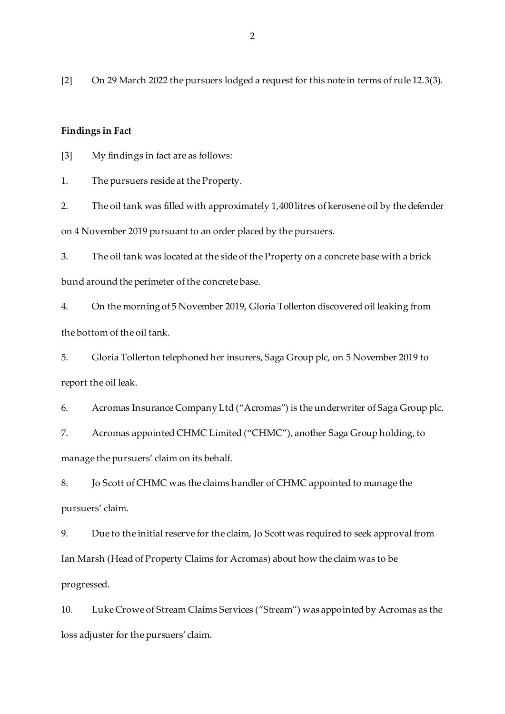[2] On 29 March 2022 the pursuers lodged a request for this note in terms of rule 12.3(3).

#### **Findings in Fact**

[3] My findings in fact are as follows:

1. The pursuers reside at the Property.

2. The oil tank was filled with approximately 1,400 litres of kerosene oil by the defender on 4 November 2019 pursuant to an order placed by the pursuers.

3. The oil tank was located at the side of the Property on a concrete base with a brick bund around the perimeter of the concrete base.

4. On the morning of 5 November 2019, Gloria Tollerton discovered oil leaking from the bottom of the oil tank.

5. Gloria Tollerton telephoned her insurers, Saga Group plc, on 5 November 2019 to report the oil leak.

6. Acromas Insurance Company Ltd ("Acromas") is the underwriter of Saga Group plc.

7. Acromas appointed CHMC Limited ("CHMC"), another Saga Group holding, to manage the pursuers' claim on its behalf.

8. Jo Scott of CHMC was the claims handler of CHMC appointed to manage the pursuers' claim.

9. Due to the initial reserve for the claim, Jo Scott was required to seek approval from Ian Marsh (Head of Property Claims for Acromas) about how the claim was to be progressed.

10. Luke Crowe of Stream Claims Services ("Stream") was appointed by Acromas as the loss adjuster for the pursuers' claim.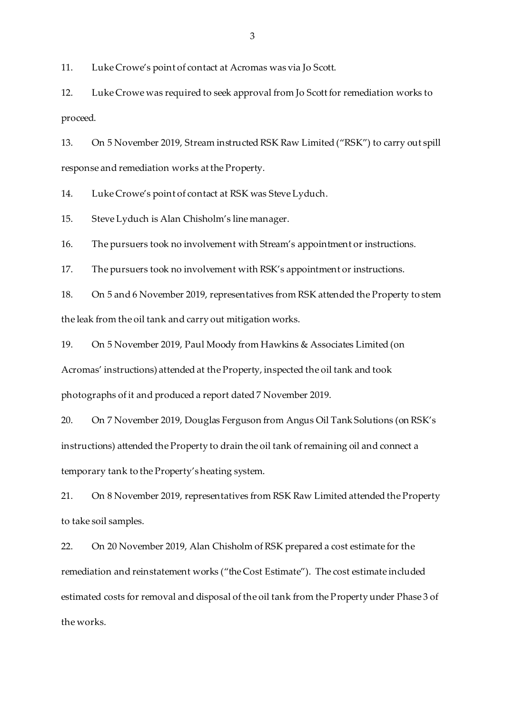11. Luke Crowe's point of contact at Acromas was via Jo Scott.

12. Luke Crowe was required to seek approval from Jo Scott for remediation works to proceed.

13. On 5 November 2019, Stream instructed RSK Raw Limited ("RSK") to carry out spill response and remediation works at the Property.

14. Luke Crowe's point of contact at RSK was Steve Lyduch.

15. Steve Lyduch is Alan Chisholm's line manager.

16. The pursuers took no involvement with Stream's appointment or instructions.

17. The pursuers took no involvement with RSK's appointment or instructions.

18. On 5 and 6 November 2019, representatives from RSK attended the Property to stem the leak from the oil tank and carry out mitigation works.

19. On 5 November 2019, Paul Moody from Hawkins & Associates Limited (on Acromas' instructions) attended at the Property, inspected the oil tank and took photographs of it and produced a report dated 7 November 2019.

20. On 7 November 2019, Douglas Ferguson from Angus Oil Tank Solutions (on RSK's instructions) attended the Property to drain the oil tank of remaining oil and connect a temporary tank to the Property's heating system.

21. On 8 November 2019, representatives from RSK Raw Limited attended the Property to take soil samples.

22. On 20 November 2019, Alan Chisholm of RSK prepared a cost estimate for the remediation and reinstatement works ("the Cost Estimate"). The cost estimate included estimated costs for removal and disposal of the oil tank from the Property under Phase 3 of the works.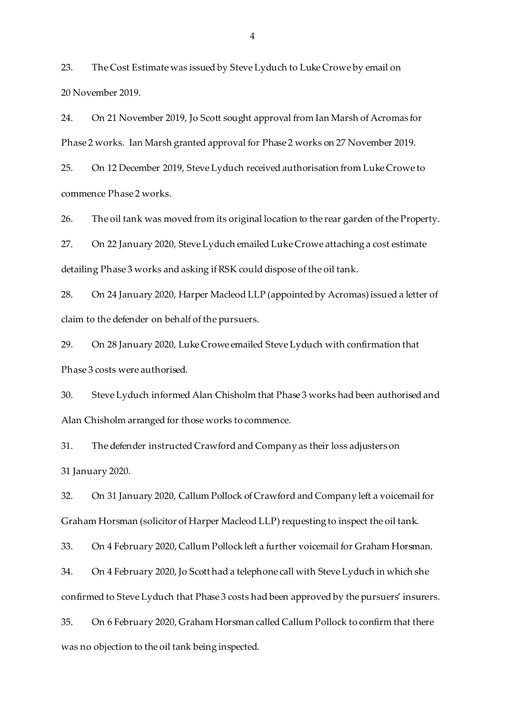23. The Cost Estimate was issued by Steve Lyduch to Luke Crowe by email on 20 November 2019.

24. On 21 November 2019, Jo Scott sought approval from Ian Marsh of Acromas for Phase 2 works. Ian Marsh granted approval for Phase 2 works on 27 November 2019.

25. On 12 December 2019, Steve Lyduch received authorisation from Luke Crowe to commence Phase 2 works.

26. The oil tank was moved from its original location to the rear garden of the Property.

27. On 22 January 2020, Steve Lyduch emailed Luke Crowe attaching a cost estimate detailing Phase 3 works and asking if RSK could dispose of the oil tank.

28. On 24 January 2020, Harper Macleod LLP (appointed by Acromas) issued a letter of claim to the defender on behalf of the pursuers.

29. On 28 January 2020, Luke Crowe emailed Steve Lyduch with confirmation that Phase 3 costs were authorised.

30. Steve Lyduch informed Alan Chisholm that Phase 3 works had been authorised and Alan Chisholm arranged for those works to commence.

31. The defender instructed Crawford and Company as their loss adjusters on 31 January 2020.

32. On 31 January 2020, Callum Pollock of Crawford and Company left a voicemail for Graham Horsman (solicitor of Harper Macleod LLP) requesting to inspect the oil tank.

33. On 4 February 2020, Callum Pollock left a further voicemail for Graham Horsman.

34. On 4 February 2020, Jo Scott had a telephone call with Steve Lyduch in which she confirmed to Steve Lyduch that Phase 3 costs had been approved by the pursuers' insurers.

35. On 6 February 2020, Graham Horsman called Callum Pollock to confirm that there was no objection to the oil tank being inspected.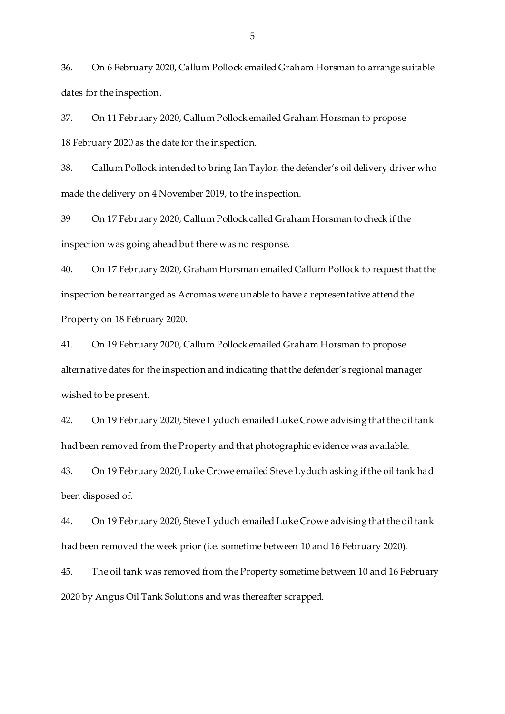36. On 6 February 2020, Callum Pollock emailed Graham Horsman to arrange suitable dates for the inspection.

37. On 11 February 2020, Callum Pollock emailed Graham Horsman to propose 18 February 2020 as the date for the inspection.

38. Callum Pollock intended to bring Ian Taylor, the defender's oil delivery driver who made the delivery on 4 November 2019, to the inspection.

39 On 17 February 2020, Callum Pollock called Graham Horsman to check if the inspection was going ahead but there was no response.

40. On 17 February 2020, Graham Horsman emailed Callum Pollock to request that the inspection be rearranged as Acromas were unable to have a representative attend the Property on 18 February 2020.

41. On 19 February 2020, Callum Pollock emailed Graham Horsman to propose alternative dates for the inspection and indicating that the defender's regional manager wished to be present.

42. On 19 February 2020, Steve Lyduch emailed Luke Crowe advising that the oil tank had been removed from the Property and that photographic evidence was available.

43. On 19 February 2020, Luke Crowe emailed Steve Lyduch asking if the oil tank had been disposed of.

44. On 19 February 2020, Steve Lyduch emailed Luke Crowe advising that the oil tank had been removed the week prior (i.e. sometime between 10 and 16 February 2020).

45. The oil tank was removed from the Property sometime between 10 and 16 February 2020 by Angus Oil Tank Solutions and was thereafter scrapped.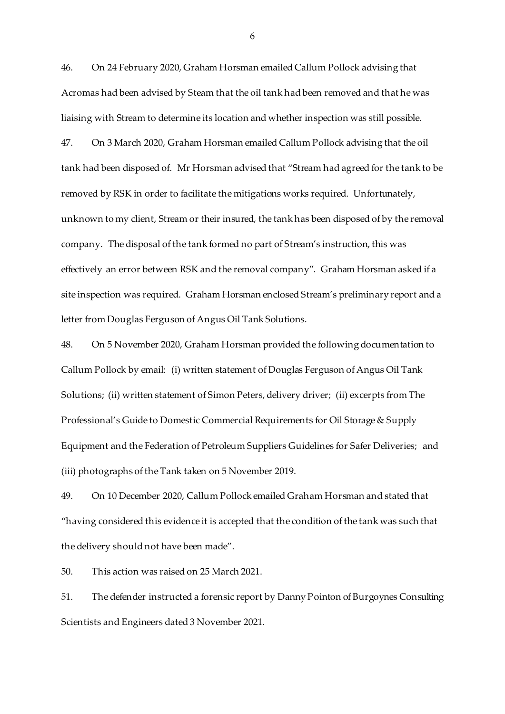46. On 24 February 2020, Graham Horsman emailed Callum Pollock advising that Acromas had been advised by Steam that the oil tank had been removed and that he was liaising with Stream to determine its location and whether inspection was still possible.

47. On 3 March 2020, Graham Horsman emailed Callum Pollock advising that the oil tank had been disposed of. Mr Horsman advised that "Stream had agreed for the tank to be removed by RSK in order to facilitate the mitigations works required. Unfortunately, unknown to my client, Stream or their insured, the tank has been disposed of by the removal company. The disposal of the tank formed no part of Stream's instruction, this was effectively an error between RSK and the removal company". Graham Horsman asked if a site inspection was required. Graham Horsman enclosed Stream's preliminary report and a letter from Douglas Ferguson of Angus Oil Tank Solutions.

48. On 5 November 2020, Graham Horsman provided the following documentation to Callum Pollock by email: (i) written statement of Douglas Ferguson of Angus Oil Tank Solutions; (ii) written statement of Simon Peters, delivery driver; (ii) excerpts from The Professional's Guide to Domestic Commercial Requirements for Oil Storage & Supply Equipment and the Federation of Petroleum Suppliers Guidelines for Safer Deliveries; and (iii) photographs of the Tank taken on 5 November 2019.

49. On 10 December 2020, Callum Pollock emailed Graham Horsman and stated that "having considered this evidence it is accepted that the condition of the tank was such that the delivery should not have been made".

50. This action was raised on 25 March 2021.

51. The defender instructed a forensic report by Danny Pointon of Burgoynes Consulting Scientists and Engineers dated 3 November 2021.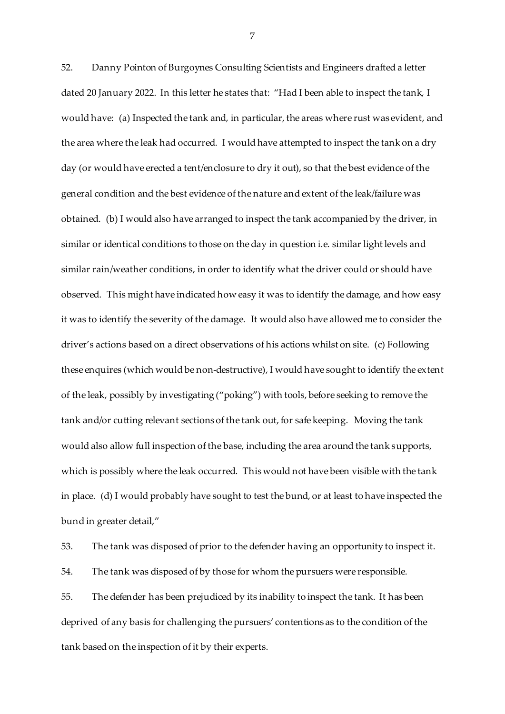52. Danny Pointon of Burgoynes Consulting Scientists and Engineers drafted a letter dated 20 January 2022. In this letter he states that: "Had I been able to inspect the tank, I would have: (a) Inspected the tank and, in particular, the areas where rust was evident, and the area where the leak had occurred. I would have attempted to inspect the tank on a dry day (or would have erected a tent/enclosure to dry it out), so that the best evidence of the general condition and the best evidence of the nature and extent of the leak/failure was obtained. (b) I would also have arranged to inspect the tank accompanied by the driver, in similar or identical conditions to those on the day in question i.e. similar light levels and similar rain/weather conditions, in order to identify what the driver could or should have observed. This might have indicated how easy it was to identify the damage, and how easy it was to identify the severity of the damage. It would also have allowed me to consider the driver's actions based on a direct observations of his actions whilst on site. (c) Following these enquires (which would be non-destructive), I would have sought to identify the extent of the leak, possibly by investigating ("poking") with tools, before seeking to remove the tank and/or cutting relevant sections of the tank out, for safe keeping. Moving the tank would also allow full inspection of the base, including the area around the tank supports, which is possibly where the leak occurred. This would not have been visible with the tank in place. (d) I would probably have sought to test the bund, or at least to have inspected the bund in greater detail,"

53. The tank was disposed of prior to the defender having an opportunity to inspect it. 54. The tank was disposed of by those for whom the pursuers were responsible. 55. The defender has been prejudiced by its inability to inspect the tank. It has been deprived of any basis for challenging the pursuers' contentions as to the condition of the tank based on the inspection of it by their experts.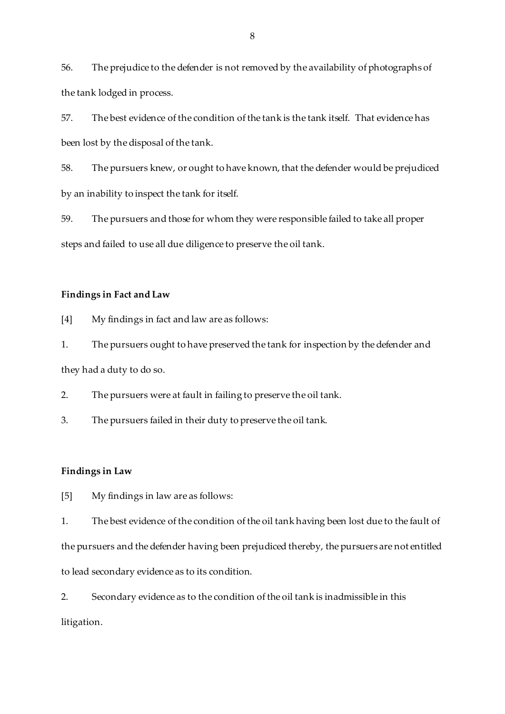56. The prejudice to the defender is not removed by the availability of photographs of the tank lodged in process.

57. The best evidence of the condition of the tank is the tank itself. That evidence has been lost by the disposal of the tank.

58. The pursuers knew, or ought to have known, that the defender would be prejudiced by an inability to inspect the tank for itself.

59. The pursuers and those for whom they were responsible failed to take all proper steps and failed to use all due diligence to preserve the oil tank.

## **Findings in Fact and Law**

[4] My findings in fact and law are as follows:

1. The pursuers ought to have preserved the tank for inspection by the defender and they had a duty to do so.

2. The pursuers were at fault in failing to preserve the oil tank.

3. The pursuers failed in their duty to preserve the oil tank.

## **Findings in Law**

[5] My findings in law are as follows:

1. The best evidence of the condition of the oil tank having been lost due to the fault of the pursuers and the defender having been prejudiced thereby, the pursuers are not entitled to lead secondary evidence as to its condition.

2. Secondary evidence as to the condition of the oil tank is inadmissible in this litigation.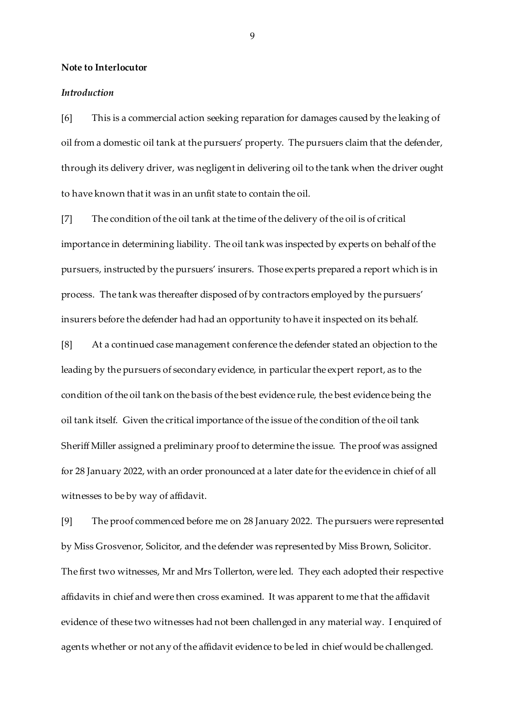#### **Note to Interlocutor**

#### *Introduction*

[6] This is a commercial action seeking reparation for damages caused by the leaking of oil from a domestic oil tank at the pursuers' property. The pursuers claim that the defender, through its delivery driver, was negligent in delivering oil to the tank when the driver ought to have known that it was in an unfit state to contain the oil.

[7] The condition of the oil tank at the time of the delivery of the oil is of critical importance in determining liability. The oil tank was inspected by experts on behalf of the pursuers, instructed by the pursuers' insurers. Those experts prepared a report which is in process. The tank was thereafter disposed of by contractors employed by the pursuers' insurers before the defender had had an opportunity to have it inspected on its behalf.

[8] At a continued case management conference the defender stated an objection to the leading by the pursuers of secondary evidence, in particular the expert report, as to the condition of the oil tank on the basis of the best evidence rule, the best evidence being the oil tank itself. Given the critical importance of the issue of the condition of the oil tank Sheriff Miller assigned a preliminary proof to determine the issue. The proof was assigned for 28 January 2022, with an order pronounced at a later date for the evidence in chief of all witnesses to be by way of affidavit.

[9] The proof commenced before me on 28 January 2022. The pursuers were represented by Miss Grosvenor, Solicitor, and the defender was represented by Miss Brown, Solicitor. The first two witnesses, Mr and Mrs Tollerton, were led. They each adopted their respective affidavits in chief and were then cross examined. It was apparent to me that the affidavit evidence of these two witnesses had not been challenged in any material way. I enquired of agents whether or not any of the affidavit evidence to be led in chief would be challenged.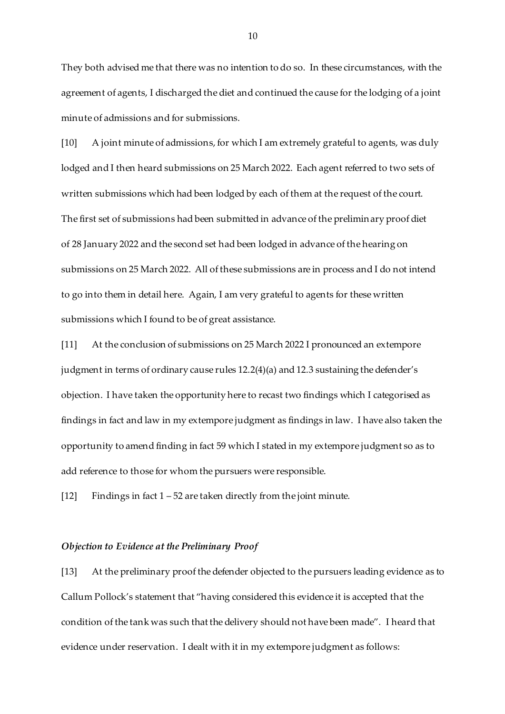They both advised me that there was no intention to do so. In these circumstances, with the agreement of agents, I discharged the diet and continued the cause for the lodging of a joint minute of admissions and for submissions.

[10] A joint minute of admissions, for which I am extremely grateful to agents, was duly lodged and I then heard submissions on 25 March 2022. Each agent referred to two sets of written submissions which had been lodged by each of them at the request of the court. The first set of submissions had been submitted in advance of the preliminary proof diet of 28 January 2022 and the second set had been lodged in advance of the hearing on submissions on 25 March 2022. All of these submissions are in process and I do not intend to go into them in detail here. Again, I am very grateful to agents for these written submissions which I found to be of great assistance.

[11] At the conclusion of submissions on 25 March 2022 I pronounced an extempore judgment in terms of ordinary cause rules 12.2(4)(a) and 12.3 sustaining the defender's objection. I have taken the opportunity here to recast two findings which I categorised as findings in fact and law in my extempore judgment as findings in law. I have also taken the opportunity to amend finding in fact 59 which I stated in my extempore judgment so as to add reference to those for whom the pursuers were responsible.

[12] Findings in fact  $1 - 52$  are taken directly from the joint minute.

#### *Objection to Evidence at the Preliminary Proof*

[13] At the preliminary proof the defender objected to the pursuers leading evidence as to Callum Pollock's statement that "having considered this evidence it is accepted that the condition of the tank was such that the delivery should not have been made". I heard that evidence under reservation. I dealt with it in my extempore judgment as follows: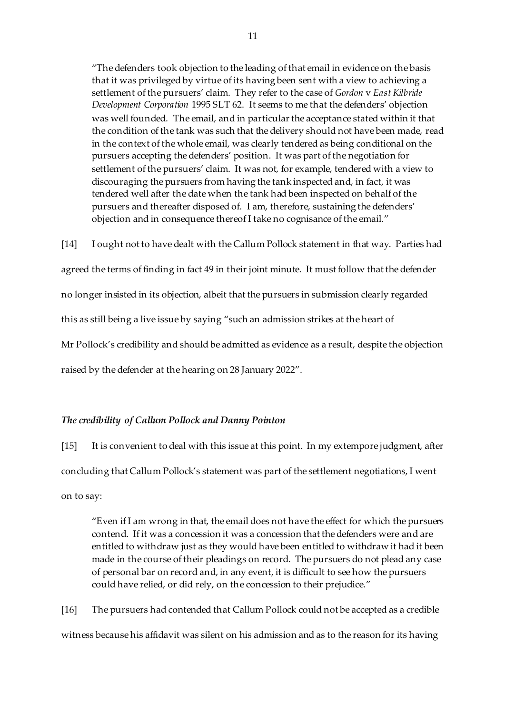"The defenders took objection to the leading of that email in evidence on the basis that it was privileged by virtue of its having been sent with a view to achieving a settlement of the pursuers' claim. They refer to the case of *Gordon* v *East Kilbride Development Corporation* 1995 SLT 62. It seems to me that the defenders' objection was well founded. The email, and in particular the acceptance stated within it that the condition of the tank was such that the delivery should not have been made, read in the context of the whole email, was clearly tendered as being conditional on the pursuers accepting the defenders' position. It was part of the negotiation for settlement of the pursuers' claim. It was not, for example, tendered with a view to discouraging the pursuers from having the tank inspected and, in fact, it was tendered well after the date when the tank had been inspected on behalf of the pursuers and thereafter disposed of. I am, therefore, sustaining the defenders' objection and in consequence thereof I take no cognisance of the email."

[14] I ought not to have dealt with the Callum Pollock statement in that way. Parties had agreed the terms of finding in fact 49 in their joint minute. It must follow that the defender no longer insisted in its objection, albeit that the pursuers in submission clearly regarded this as still being a live issue by saying "such an admission strikes at the heart of Mr Pollock's credibility and should be admitted as evidence as a result, despite the objection raised by the defender at the hearing on 28 January 2022".

#### *The credibility of Callum Pollock and Danny Pointon*

[15] It is convenient to deal with this issue at this point. In my extempore judgment, after concluding that Callum Pollock's statement was part of the settlement negotiations, I went on to say:

"Even if I am wrong in that, the email does not have the effect for which the pursuers contend. If it was a concession it was a concession that the defenders were and are entitled to withdraw just as they would have been entitled to withdraw it had it been made in the course of their pleadings on record. The pursuers do not plead any case of personal bar on record and, in any event, it is difficult to see how the pursuers could have relied, or did rely, on the concession to their prejudice."

[16] The pursuers had contended that Callum Pollock could not be accepted as a credible witness because his affidavit was silent on his admission and as to the reason for its having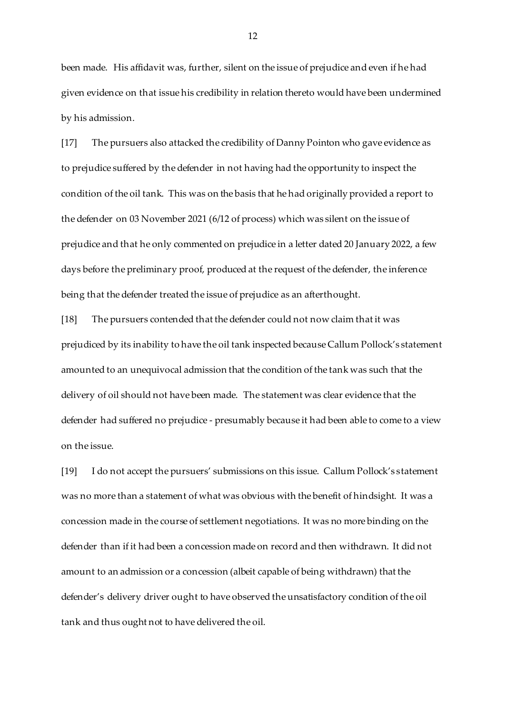been made. His affidavit was, further, silent on the issue of prejudice and even if he had given evidence on that issue his credibility in relation thereto would have been undermined by his admission.

[17] The pursuers also attacked the credibility of Danny Pointon who gave evidence as to prejudice suffered by the defender in not having had the opportunity to inspect the condition of the oil tank. This was on the basis that he had originally provided a report to the defender on 03 November 2021 (6/12 of process) which was silent on the issue of prejudice and that he only commented on prejudice in a letter dated 20 January 2022, a few days before the preliminary proof, produced at the request of the defender, the inference being that the defender treated the issue of prejudice as an afterthought.

[18] The pursuers contended that the defender could not now claim that it was prejudiced by its inability to have the oil tank inspected because Callum Pollock's statement amounted to an unequivocal admission that the condition of the tank was such that the delivery of oil should not have been made. The statement was clear evidence that the defender had suffered no prejudice - presumably because it had been able to come to a view on the issue.

[19] I do not accept the pursuers' submissions on this issue. Callum Pollock's statement was no more than a statement of what was obvious with the benefit of hindsight. It was a concession made in the course of settlement negotiations. It was no more binding on the defender than if it had been a concession made on record and then withdrawn. It did not amount to an admission or a concession (albeit capable of being withdrawn) that the defender's delivery driver ought to have observed the unsatisfactory condition of the oil tank and thus ought not to have delivered the oil.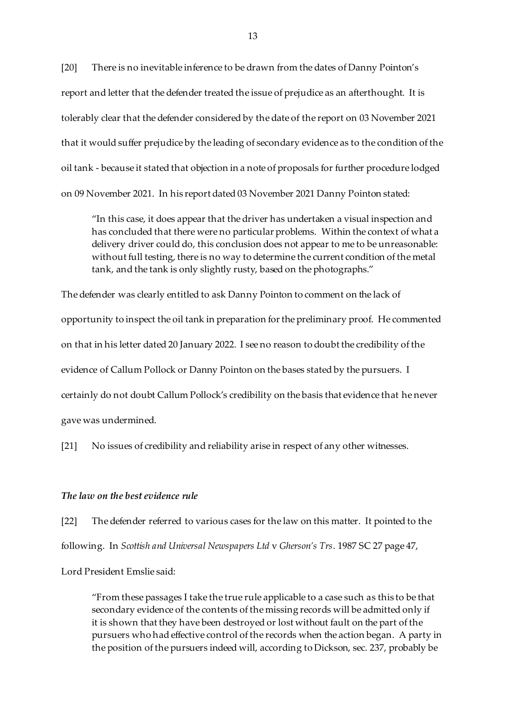[20] There is no inevitable inference to be drawn from the dates of Danny Pointon's report and letter that the defender treated the issue of prejudice as an afterthought. It is tolerably clear that the defender considered by the date of the report on 03 November 2021 that it would suffer prejudice by the leading of secondary evidence as to the condition of the oil tank - because it stated that objection in a note of proposals for further procedure lodged on 09 November 2021. In his report dated 03 November 2021 Danny Pointon stated:

"In this case, it does appear that the driver has undertaken a visual inspection and has concluded that there were no particular problems. Within the context of what a delivery driver could do, this conclusion does not appear to me to be unreasonable: without full testing, there is no way to determine the current condition of the metal tank, and the tank is only slightly rusty, based on the photographs."

The defender was clearly entitled to ask Danny Pointon to comment on the lack of opportunity to inspect the oil tank in preparation for the preliminary proof. He commented on that in his letter dated 20 January 2022. I see no reason to doubt the credibility of the evidence of Callum Pollock or Danny Pointon on the bases stated by the pursuers. I certainly do not doubt Callum Pollock's credibility on the basis that evidence that he never gave was undermined.

[21] No issues of credibility and reliability arise in respect of any other witnesses.

#### *The law on the best evidence rule*

[22] The defender referred to various cases for the law on this matter. It pointed to the following. In *Scottish and Universal Newspapers Ltd* v *Gherson's Trs*. 1987 SC 27 page 47,

Lord President Emslie said:

"From these passages I take the true rule applicable to a case such as this to be that secondary evidence of the contents of the missing records will be admitted only if it is shown that they have been destroyed or lost without fault on the part of the pursuers who had effective control of the records when the action began. A party in the position of the pursuers indeed will, according to Dickson, sec. 237, probably be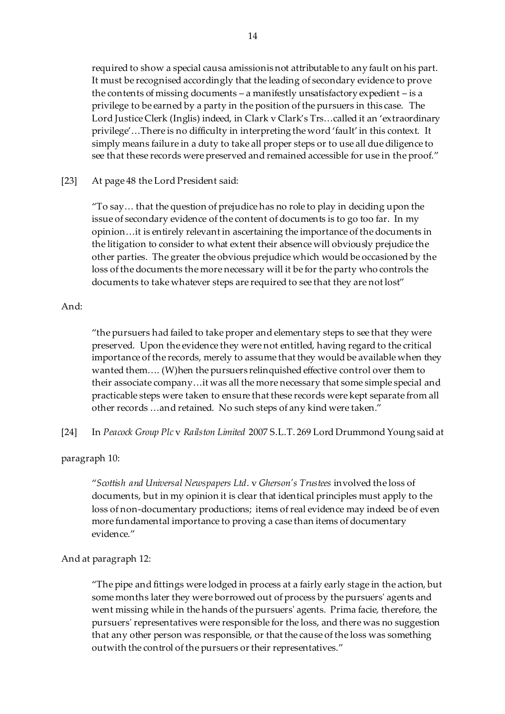required to show a special causa amissionis not attributable to any fault on his part. It must be recognised accordingly that the leading of secondary evidence to prove the contents of missing documents – a manifestly unsatisfactory expedient – is a privilege to be earned by a party in the position of the pursuers in this case. The Lord Justice Clerk (Inglis) indeed, in Clark v Clark's Trs…called it an 'extraordinary privilege'…There is no difficulty in interpreting the word 'fault' in this context. It simply means failure in a duty to take all proper steps or to use all due diligence to see that these records were preserved and remained accessible for use in the proof."

[23] At page 48 the Lord President said:

"To say… that the question of prejudice has no role to play in deciding upon the issue of secondary evidence of the content of documents is to go too far. In my opinion…it is entirely relevant in ascertaining the importance of the documents in the litigation to consider to what extent their absence will obviously prejudice the other parties. The greater the obvious prejudice which would be occasioned by the loss of the documents the more necessary will it be for the party who controls the documents to take whatever steps are required to see that they are not lost"

# And:

"the pursuers had failed to take proper and elementary steps to see that they were preserved. Upon the evidence they were not entitled, having regard to the critical importance of the records, merely to assume that they would be available when they wanted them…. (W)hen the pursuers relinquished effective control over them to their associate company…it was all the more necessary that some simple special and practicable steps were taken to ensure that these records were kept separate from all other records …and retained. No such steps of any kind were taken."

[24] In *Peacock Group Plc* v *Railston Limited* 2007 S.L.T. 269 Lord Drummond Young said at

paragraph 10:

"*Scottish and Universal Newspapers Ltd*. v *Gherson's Trustees* involved the loss of documents, but in my opinion it is clear that identical principles must apply to the loss of non-documentary productions; items of real evidence may indeed be of even more fundamental importance to proving a case than items of documentary evidence"

And at paragraph 12:

"The pipe and fittings were lodged in process at a fairly early stage in the action, but some months later they were borrowed out of process by the pursuers' agents and went missing while in the hands of the pursuers' agents. Prima facie, therefore, the pursuers' representatives were responsible for the loss, and there was no suggestion that any other person was responsible, or that the cause of the loss was something outwith the control of the pursuers or their representatives."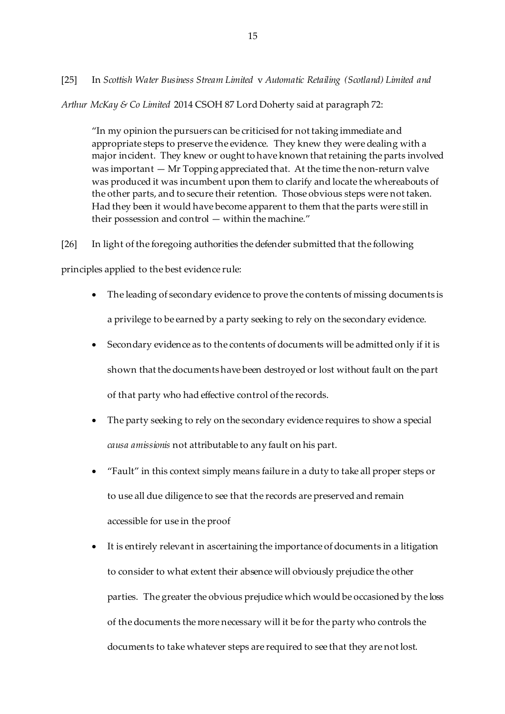[25] In *Scottish Water Business Stream Limited* v *Automatic Retailing (Scotland) Limited and* 

*Arthur McKay & Co Limited* 2014 CSOH 87 Lord Doherty said at paragraph 72:

"In my opinion the pursuers can be criticised for not taking immediate and appropriate steps to preserve the evidence. They knew they were dealing with a major incident. They knew or ought to have known that retaining the parts involved was important — Mr Topping appreciated that. At the time the non-return valve was produced it was incumbent upon them to clarify and locate the whereabouts of the other parts, and to secure their retention. Those obvious steps were not taken. Had they been it would have become apparent to them that the parts were still in their possession and control — within the machine."

[26] In light of the foregoing authorities the defender submitted that the following

principles applied to the best evidence rule:

- The leading of secondary evidence to prove the contents of missing documents is a privilege to be earned by a party seeking to rely on the secondary evidence.
- Secondary evidence as to the contents of documents will be admitted only if it is shown that the documents have been destroyed or lost without fault on the part of that party who had effective control of the records.
- The party seeking to rely on the secondary evidence requires to show a special *causa amissionis* not attributable to any fault on his part.
- "Fault" in this context simply means failure in a duty to take all proper steps or to use all due diligence to see that the records are preserved and remain accessible for use in the proof
- It is entirely relevant in ascertaining the importance of documents in a litigation to consider to what extent their absence will obviously prejudice the other parties. The greater the obvious prejudice which would be occasioned by the loss of the documents the more necessary will it be for the party who controls the documents to take whatever steps are required to see that they are not lost.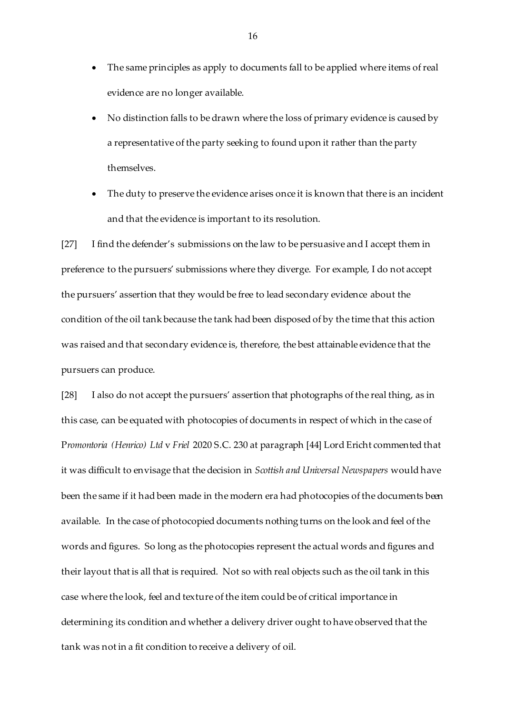- The same principles as apply to documents fall to be applied where items of real evidence are no longer available.
- No distinction falls to be drawn where the loss of primary evidence is caused by a representative of the party seeking to found upon it rather than the party themselves.
- The duty to preserve the evidence arises once it is known that there is an incident and that the evidence is important to its resolution.

[27] I find the defender's submissions on the law to be persuasive and I accept them in preference to the pursuers' submissions where they diverge. For example, I do not accept the pursuers' assertion that they would be free to lead secondary evidence about the condition of the oil tank because the tank had been disposed of by the time that this action was raised and that secondary evidence is, therefore, the best attainable evidence that the pursuers can produce.

[28] I also do not accept the pursuers' assertion that photographs of the real thing, as in this case, can be equated with photocopies of documents in respect of which in the case of P*romontoria (Henrico) Ltd* v *Friel* 2020 S.C. 230 at paragraph [44] Lord Ericht commented that it was difficult to envisage that the decision in *Scottish and Universal Newspapers* would have been the same if it had been made in the modern era had photocopies of the documents been available. In the case of photocopied documents nothing turns on the look and feel of the words and figures. So long as the photocopies represent the actual words and figures and their layout that is all that is required. Not so with real objects such as the oil tank in this case where the look, feel and texture of the item could be of critical importance in determining its condition and whether a delivery driver ought to have observed that the tank was not in a fit condition to receive a delivery of oil.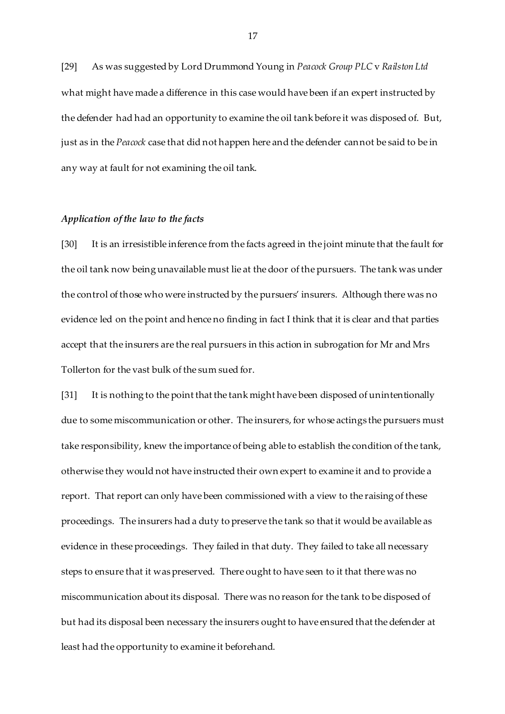[29] As was suggested by Lord Drummond Young in *Peacock Group PLC* v *Railston Ltd*  what might have made a difference in this case would have been if an expert instructed by the defender had had an opportunity to examine the oil tank before it was disposed of. But, just as in the *Peacock* case that did not happen here and the defender cannot be said to be in any way at fault for not examining the oil tank.

## *Application of the law to the facts*

[30] It is an irresistible inference from the facts agreed in the joint minute that the fault for the oil tank now being unavailable must lie at the door of the pursuers. The tank was under the control of those who were instructed by the pursuers' insurers. Although there was no evidence led on the point and hence no finding in fact I think that it is clear and that parties accept that the insurers are the real pursuers in this action in subrogation for Mr and Mrs Tollerton for the vast bulk of the sum sued for.

[31] It is nothing to the point that the tank might have been disposed of unintentionally due to some miscommunication or other. The insurers, for whose actings the pursuers must take responsibility, knew the importance of being able to establish the condition of the tank, otherwise they would not have instructed their own expert to examine it and to provide a report. That report can only have been commissioned with a view to the raising of these proceedings. The insurers had a duty to preserve the tank so that it would be available as evidence in these proceedings. They failed in that duty. They failed to take all necessary steps to ensure that it was preserved. There ought to have seen to it that there was no miscommunication about its disposal. There was no reason for the tank to be disposed of but had its disposal been necessary the insurers ought to have ensured that the defender at least had the opportunity to examine it beforehand.